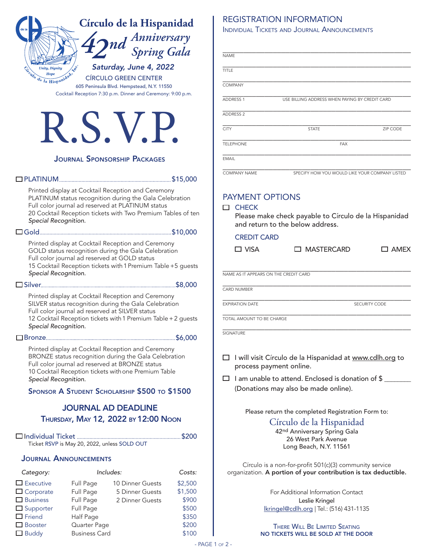| Círculo de la Hispanidad                                                                                                | <b>REGISTRATION INFORMATION</b><br><b>INDIVIDUAL TICKETS AND JOURNAL ANNOUNCEMENTS</b>   |  |  |  |
|-------------------------------------------------------------------------------------------------------------------------|------------------------------------------------------------------------------------------|--|--|--|
|                                                                                                                         |                                                                                          |  |  |  |
| nd <sup>Anniversary</sup><br>Spring Gala                                                                                | <b>NAME</b>                                                                              |  |  |  |
| Saturday, June 4, 2022<br><b>Unity, Dignity</b>                                                                         |                                                                                          |  |  |  |
| colo de la Hispanidad<br><b>CÍRCULO GREEN CENTER</b>                                                                    | <b>TITLE</b>                                                                             |  |  |  |
| 605 Peninsula Blvd. Hempstead, N.Y. 11550<br>Cocktail Reception 7:30 p.m. Dinner and Ceremony: 9:00 p.m.                | <b>COMPANY</b>                                                                           |  |  |  |
|                                                                                                                         | <b>ADDRESS 1</b><br>USE BILLING ADDRESS WHEN PAYING BY CREDIT CARD                       |  |  |  |
|                                                                                                                         | <b>ADDRESS 2</b>                                                                         |  |  |  |
| <b>K.S.V.P.</b>                                                                                                         | <b>CITY</b><br><b>STATE</b><br>ZIP CODE                                                  |  |  |  |
|                                                                                                                         | <b>TELEPHONE</b><br><b>FAX</b>                                                           |  |  |  |
|                                                                                                                         |                                                                                          |  |  |  |
| <b>JOURNAL SPONSORSHIP PACKAGES</b>                                                                                     | <b>EMAIL</b>                                                                             |  |  |  |
|                                                                                                                         | COMPANY NAME<br>SPECIFY HOW YOU WOULD LIKE YOUR COMPANY LISTED                           |  |  |  |
| Printed display at Cocktail Reception and Ceremony                                                                      |                                                                                          |  |  |  |
| PLATINUM status recognition during the Gala Celebration<br>Full color journal ad reserved at PLATINUM status            | <b>PAYMENT OPTIONS</b>                                                                   |  |  |  |
| 20 Cocktail Reception tickets with Two Premium Tables of ten                                                            | $\Box$ CHECK<br>Please make check payable to Círculo de la Hispanidad                    |  |  |  |
| Special Recognition.                                                                                                    | and return to the below address.                                                         |  |  |  |
|                                                                                                                         | <b>CREDIT CARD</b>                                                                       |  |  |  |
| Printed display at Cocktail Reception and Ceremony<br>GOLD status recognition during the Gala Celebration               | $\Box$ VISA<br>□ MASTERCARD<br>$\square$ AMEX                                            |  |  |  |
| Full color journal ad reserved at GOLD status<br>15 Cocktail Reception tickets with 1 Premium Table +5 guests           |                                                                                          |  |  |  |
| Special Recognition.                                                                                                    | NAME AS IT APPEARS ON THE CREDIT CARD                                                    |  |  |  |
|                                                                                                                         | CARD NUMBER                                                                              |  |  |  |
| Printed display at Cocktail Reception and Ceremony<br>SILVER status recognition during the Gala Celebration             | <b>EXPIRATION DATE</b><br>SECURITY CODE                                                  |  |  |  |
| Full color journal ad reserved at SILVER status                                                                         |                                                                                          |  |  |  |
| 12 Cocktail Reception tickets with 1 Premium Table + 2 guests<br>Special Recognition.                                   | TOTAL AMOUNT TO BE CHARGE                                                                |  |  |  |
|                                                                                                                         | SIGNATURE                                                                                |  |  |  |
| Printed display at Cocktail Reception and Ceremony                                                                      |                                                                                          |  |  |  |
| BRONZE status recognition during the Gala Celebration<br>Full color journal ad reserved at BRONZE status                | I will visit Círculo de la Hispanidad at www.cdlh.org to<br>⊔<br>process payment online. |  |  |  |
| 10 Cocktail Reception tickets with one Premium Table<br>Special Recognition.                                            | I am unable to attend. Enclosed is donation of \$<br>□                                   |  |  |  |
| SPONSOR A STUDENT SCHOLARSHIP \$500 TO \$1500                                                                           | (Donations may also be made online).                                                     |  |  |  |
|                                                                                                                         |                                                                                          |  |  |  |
| <b>JOURNAL AD DEADLINE</b>                                                                                              | Please return the completed Registration Form to:                                        |  |  |  |
| THURSDAY, MAY 12, 2022 BY 12:00 NOON                                                                                    | Círculo de la Hispanidad                                                                 |  |  |  |
|                                                                                                                         | 42nd Anniversary Spring Gala<br>26 West Park Avenue                                      |  |  |  |
| Ticket RSVP is May 20, 2022, unless SOLD OUT                                                                            | Long Beach, N.Y. 11561                                                                   |  |  |  |
| <b>JOURNAL ANNOUNCEMENTS</b>                                                                                            | Círculo is a non-for-profit 501(c)(3) community service                                  |  |  |  |
| Includes:<br>Costs:<br>Category:                                                                                        | organization. A portion of your contribution is tax deductible.                          |  |  |  |
| $\Box$ Executive<br>\$2,500<br>Full Page<br>10 Dinner Guests                                                            |                                                                                          |  |  |  |
| $\Box$ Corporate<br>Full Page<br>5 Dinner Guests<br>\$1,500<br>$\Box$ Business<br>\$900<br>Full Page<br>2 Dinner Guests | For Additional Information Contact<br>Leslie Kringel                                     |  |  |  |
| \$500<br>$\Box$ Supporter<br>Full Page                                                                                  | lkringel@cdlh.org   Tel.: (516) 431-1135                                                 |  |  |  |
| $\Box$ Friend<br>\$350<br>Half Page<br>\$200<br>$\Box$ Booster<br>Quarter Page                                          |                                                                                          |  |  |  |
| $\Box$ Buddy<br>\$100<br><b>Business Card</b>                                                                           | <b>THERE WILL BE LIMITED SEATING</b><br>NO TICKETS WILL BE SOLD AT THE DOOR              |  |  |  |

Buddy